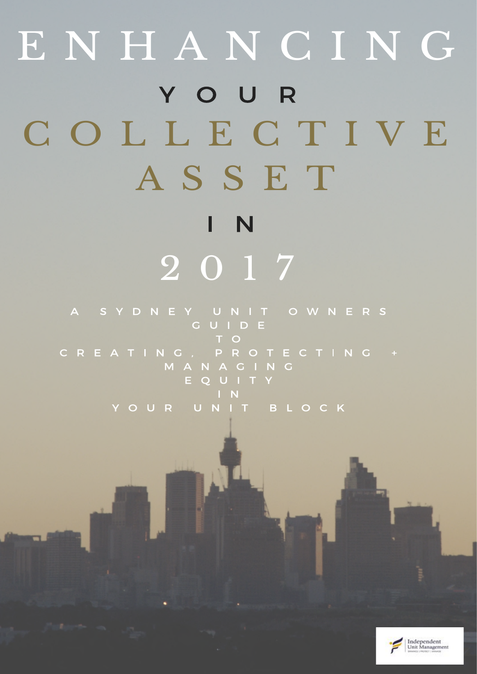# ENHANCING YOUR C O L L E C T I V E A S S E T  $\mathsf{I}$  N 2 0 1 7

SYDNEY UNIT OWNERS  $\overline{\mathsf{A}}$ **CUIDE** T O EATING, PROTECTING + C R MANACING EQUITY YOUR UNIT BLOCK

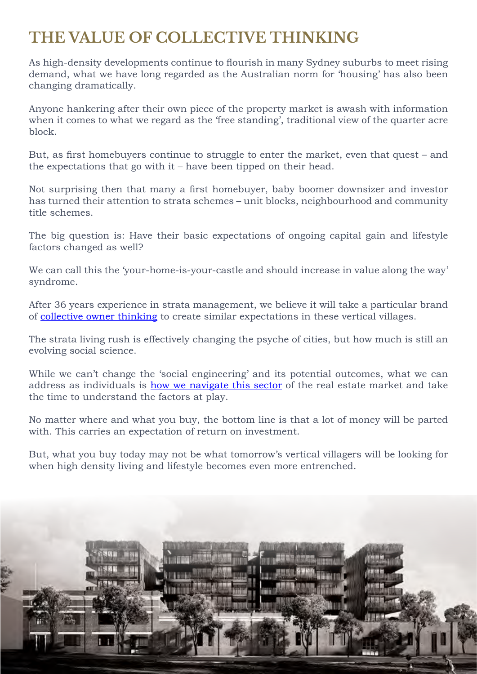# **THE VALUE OF COLLECTIVE THINKING**

As high-density developments continue to flourish in many Sydney suburbs to meet rising demand, what we have long regarded as the Australian norm for 'housing' has also been changing dramatically.

Anyone hankering after their own piece of the property market is awash with information when it comes to what we regard as the 'free standing', traditional view of the quarter acre block.

But, as first homebuyers continue to struggle to enter the market, even that quest – and the expectations that go with it – have been tipped on their head.

Not surprising then that many a first homebuyer, baby boomer downsizer and investor has turned their attention to strata schemes – unit blocks, neighbourhood and community title schemes.

The big question is: Have their basic expectations of ongoing capital gain and lifestyle factors changed as well?

We can call this the 'your-home-is-your-castle and should increase in value along the way' syndrome.

After 36 years experience in strata management, we believe it will take a particular brand of [collective owner thinking](http://www.ium.com.au/your-collective-asset) to create similar expectations in these vertical villages.

The strata living rush is effectively changing the psyche of cities, but how much is still an evolving social science.

While we can't change the 'social engineering' and its potential outcomes, what we can address as individuals is [how we navigate this sector](http://www.ium.com.au/great-governance) of the real estate market and take the time to understand the factors at play.

No matter where and what you buy, the bottom line is that a lot of money will be parted with. This carries an expectation of return on investment.

But, what you buy today may not be what tomorrow's vertical villagers will be looking for when high density living and lifestyle becomes even more entrenched.

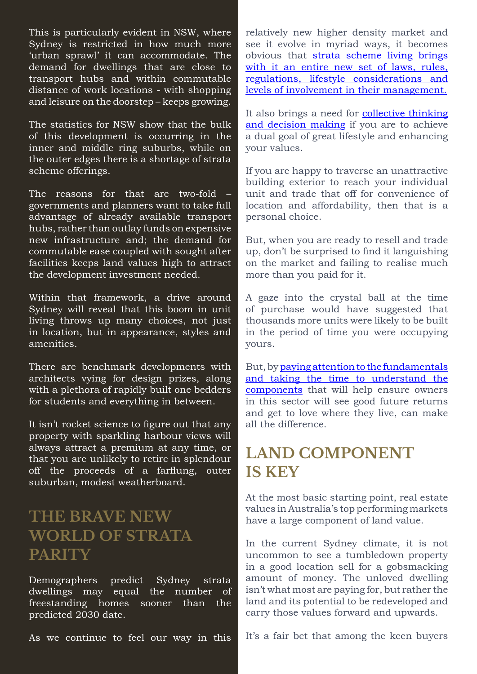This is particularly evident in NSW, where Sydney is restricted in how much more 'urban sprawl' it can accommodate. The demand for dwellings that are close to transport hubs and within commutable distance of work locations - with shopping and leisure on the doorstep – keeps growing.

The statistics for NSW show that the bulk of this development is occurring in the inner and middle ring suburbs, while on the outer edges there is a shortage of strata scheme offerings.

The reasons for that are two-fold governments and planners want to take full advantage of already available transport hubs, rather than outlay funds on expensive new infrastructure and; the demand for commutable ease coupled with sought after facilities keeps land values high to attract the development investment needed.

Within that framework, a drive around Sydney will reveal that this boom in unit living throws up many choices, not just in location, but in appearance, styles and amenities.

There are benchmark developments with architects vying for design prizes, along with a plethora of rapidly built one bedders for students and everything in between.

It isn't rocket science to figure out that any property with sparkling harbour views will always attract a premium at any time, or that you are unlikely to retire in splendour off the proceeds of a farflung, outer suburban, modest weatherboard.

## **THE BRAVE NEW WORLD OF STRATA PARITY**

Demographers predict Sydney strata dwellings may equal the number of freestanding homes sooner than the predicted 2030 date.

As we continue to feel our way in this

relatively new higher density market and see it evolve in myriad ways, it becomes obvious that [strata scheme living brings](http://www.ium.com.au/great-governance) [with it an entire new set of laws, rules,](http://www.ium.com.au/great-governance) [regulations, lifestyle considerations and](http://www.ium.com.au/great-governance) [levels of involvement in their management.](http://www.ium.com.au/great-governance)

It also brings a need for [collective thinking](http://www.ium.com.au/your-collective-asset) [and decision making](http://www.ium.com.au/your-collective-asset) if you are to achieve a dual goal of great lifestyle and enhancing your values.

If you are happy to traverse an unattractive building exterior to reach your individual unit and trade that off for convenience of location and affordability, then that is a personal choice.

But, when you are ready to resell and trade up, don't be surprised to find it languishing on the market and failing to realise much more than you paid for it.

A gaze into the crystal ball at the time of purchase would have suggested that thousands more units were likely to be built in the period of time you were occupying yours.

But, by [paying attention to the fundamentals](http://www.ium.com.au/great-governance) [and taking the time to understand the](http://www.ium.com.au/great-governance) [components](http://www.ium.com.au/great-governance) that will help ensure owners in this sector will see good future returns and get to love where they live, can make all the difference.

## **LAND COMPONENT IS KEY**

At the most basic starting point, real estate values in Australia's top performing markets have a large component of land value.

In the current Sydney climate, it is not uncommon to see a tumbledown property in a good location sell for a gobsmacking amount of money. The unloved dwelling isn't what most are paying for, but rather the land and its potential to be redeveloped and carry those values forward and upwards.

It's a fair bet that among the keen buyers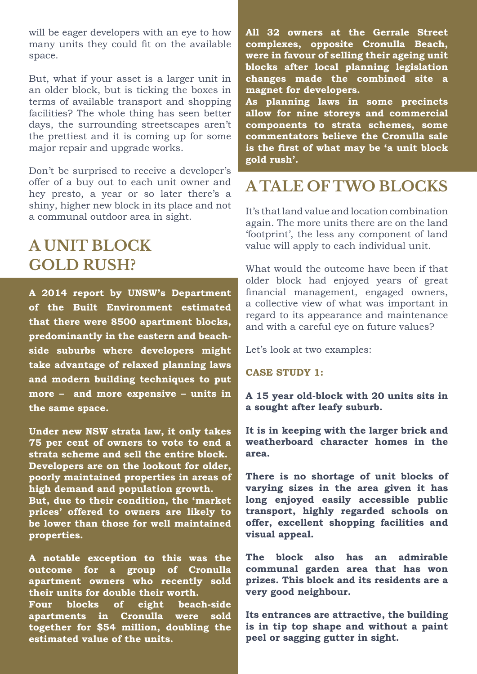will be eager developers with an eye to how many units they could fit on the available space.

But, what if your asset is a larger unit in an older block, but is ticking the boxes in terms of available transport and shopping facilities? The whole thing has seen better days, the surrounding streetscapes aren't the prettiest and it is coming up for some major repair and upgrade works.

Don't be surprised to receive a developer's offer of a buy out to each unit owner and hey presto, a year or so later there's a shiny, higher new block in its place and not a communal outdoor area in sight.

## **A UNIT BLOCK GOLD RUSH?**

**A 2014 report by UNSW's Department of the Built Environment estimated that there were 8500 apartment blocks, predominantly in the eastern and beachside suburbs where developers might take advantage of relaxed planning laws and modern building techniques to put more – and more expensive – units in the same space.**

**Under new NSW strata law, it only takes 75 per cent of owners to vote to end a strata scheme and sell the entire block. Developers are on the lookout for older, poorly maintained properties in areas of high demand and population growth. But, due to their condition, the 'market** 

**prices' offered to owners are likely to be lower than those for well maintained properties.** 

**A notable exception to this was the outcome for a group of Cronulla apartment owners who recently sold their units for double their worth.** 

**Four blocks of eight beach-side apartments in Cronulla were sold together for \$54 million, doubling the estimated value of the units.** 

**All 32 owners at the Gerrale Street complexes, opposite Cronulla Beach, were in favour of selling their ageing unit blocks after local planning legislation changes made the combined site a magnet for developers.** 

**As planning laws in some precincts allow for nine storeys and commercial components to strata schemes, some commentators believe the Cronulla sale is the first of what may be 'a unit block gold rush'.** 

## **A TALE OF TWO BLOCKS**

It's that land value and location combination again. The more units there are on the land 'footprint', the less any component of land value will apply to each individual unit.

What would the outcome have been if that older block had enjoyed years of great financial management, engaged owners, a collective view of what was important in regard to its appearance and maintenance and with a careful eye on future values?

Let's look at two examples:

#### **CASE STUDY 1:**

**A 15 year old-block with 20 units sits in a sought after leafy suburb.** 

**It is in keeping with the larger brick and weatherboard character homes in the area.**

**There is no shortage of unit blocks of varying sizes in the area given it has long enjoyed easily accessible public transport, highly regarded schools on offer, excellent shopping facilities and visual appeal.**

**The block also has an admirable communal garden area that has won prizes. This block and its residents are a very good neighbour.**

**Its entrances are attractive, the building is in tip top shape and without a paint peel or sagging gutter in sight.**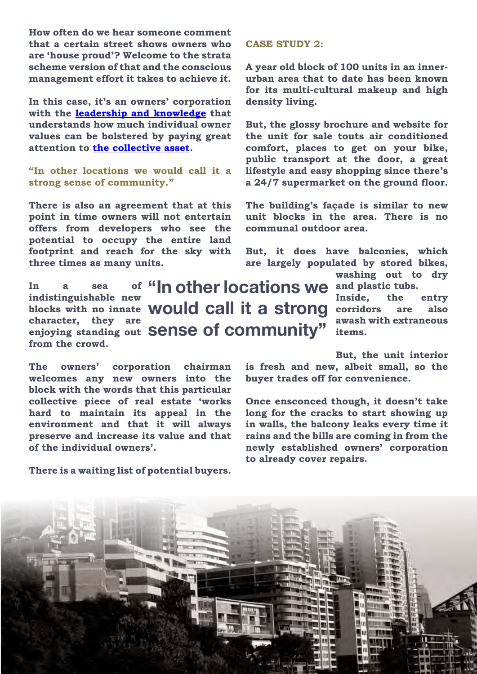**How often do we hear someone comment that a certain street shows owners who are 'house proud'? Welcome to the strata scheme version of that and the conscious management effort it takes to achieve it.**

**In this case, it's an owners' corporation with the [leadership and knowledge](http://www.ium.com.au/great-governance) that understands how much individual owner values can be bolstered by paying great attention to [the collective asset.](http://www.ium.com.au/collective-asset)**

**"In other locations we would call it a strong sense of community."**

**There is also an agreement that at this point in time owners will not entertain offers from developers who see the potential to occupy the entire land footprint and reach for the sky with three times as many units.**

In a sea of "**In other locations we** and plastic tubs. **indistinguishable new**  blocks with no innate **WOUld call it a strong** corridors are also **character, they are enjoying standing out from the crowd. sense of community"**

**The owners' corporation chairman welcomes any new owners into the block with the words that this particular collective piece of real estate 'works hard to maintain its appeal in the environment and that it will always preserve and increase its value and that of the individual owners'.**

**There is a waiting list of potential buyers.**

#### **CASE STUDY 2:**

**A year old block of 100 units in an innerurban area that to date has been known for its multi-cultural makeup and high density living.**

**But, the glossy brochure and website for the unit for sale touts air conditioned comfort, places to get on your bike, public transport at the door, a great lifestyle and easy shopping since there's a 24/7 supermarket on the ground floor.**

**The building's façade is similar to new unit blocks in the area. There is no communal outdoor area.**

**But, it does have balconies, which are largely populated by stored bikes,** 

**washing out to dry** 

**Inside, the entry awash with extraneous items.**

**But, the unit interior is fresh and new, albeit small, so the buyer trades off for convenience.**

**Once ensconced though, it doesn't take long for the cracks to start showing up in walls, the balcony leaks every time it rains and the bills are coming in from the newly established owners' corporation to already cover repairs.**

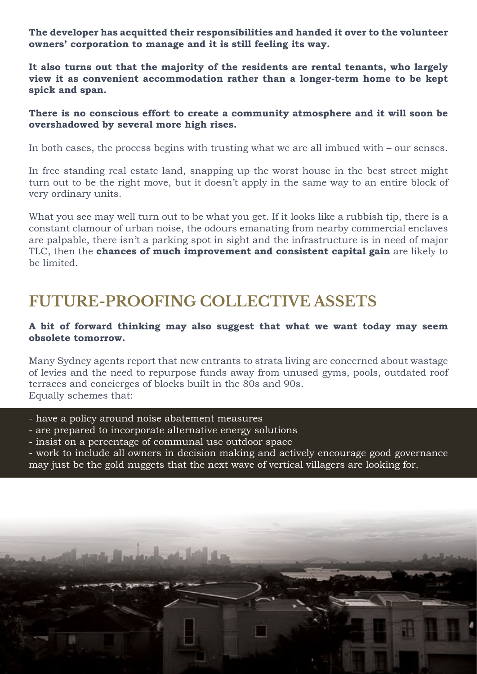**The developer has acquitted their responsibilities and handed it over to the volunteer owners' corporation to manage and it is still feeling its way.**

**It also turns out that the majority of the residents are rental tenants, who largely view it as convenient accommodation rather than a longer-term home to be kept spick and span.**

#### **There is no conscious effort to create a community atmosphere and it will soon be overshadowed by several more high rises.**

In both cases, the process begins with trusting what we are all imbued with – our senses.

In free standing real estate land, snapping up the worst house in the best street might turn out to be the right move, but it doesn't apply in the same way to an entire block of very ordinary units.

What you see may well turn out to be what you get. If it looks like a rubbish tip, there is a constant clamour of urban noise, the odours emanating from nearby commercial enclaves are palpable, there isn't a parking spot in sight and the infrastructure is in need of major TLC, then the **chances of much improvement and consistent capital gain** are likely to be limited.

## **FUTURE-PROOFING COLLECTIVE ASSETS**

#### **A bit of forward thinking may also suggest that what we want today may seem obsolete tomorrow.**

Many Sydney agents report that new entrants to strata living are concerned about wastage of levies and the need to repurpose funds away from unused gyms, pools, outdated roof terraces and concierges of blocks built in the 80s and 90s. Equally schemes that:

- have a policy around noise abatement measures

ł

- are prepared to incorporate alternative energy solutions
- insist on a percentage of communal use outdoor space

- work to include all owners in decision making and actively encourage good governance may just be the gold nuggets that the next wave of vertical villagers are looking for.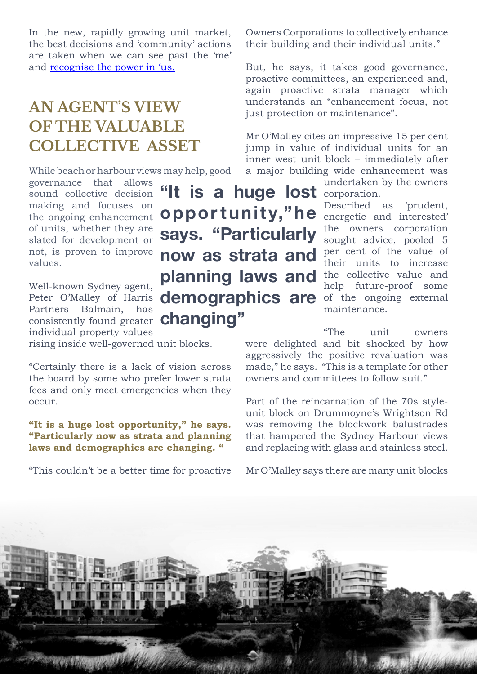In the new, rapidly growing unit market, the best decisions and 'community' actions are taken when we can see past the 'me' and recognise the power in 'us.

# **AN AGENT'S VIEW OF THE VALUABLE COLLECTIVE ASSET**

While beach or harbour views may help, good

governance that allows sound collective decision making and focuses on the ongoing enhancement of units, whether they are slated for development or not, is proven to improve values.

Well-known Sydney agent, Partners Balmain, has consistently found greater **changing"**individual property values

rising inside well-governed unit blocks.

"Certainly there is a lack of vision across the board by some who prefer lower strata fees and only meet emergencies when they occur.

#### **"It is a huge lost opportunity," he says. "Particularly now as strata and planning laws and demographics are changing. "**

"This couldn't be a better time for proactive

Owners Corporations to collectively enhance their building and their individual units."

But, he says, it takes good governance, proactive committees, an experienced and, again proactive strata manager which understands an "enhancement focus, not just protection or maintenance".

Mr O'Malley cites an impressive 15 per cent jump in value of individual units for an inner west unit block – immediately after a major building wide enhancement was

undertaken by the owners

Described as 'prudent, energetic and interested' the owners corporation sought advice, pooled 5 per cent of the value of their units to increase the collective value and help future-proof some of the ongoing external maintenance.

"The unit owners were delighted and bit shocked by how aggressively the positive revaluation was made," he says. "This is a template for other owners and committees to follow suit."

Part of the reincarnation of the 70s styleunit block on Drummoyne's Wrightson Rd was removing the blockwork balustrades that hampered the Sydney Harbour views and replacing with glass and stainless steel.

Mr O'Malley says there are many unit blocks



Peter O'Malley of Harris **demographics are** "It is a huge lost **corporation**. **oppor tunity,"he says. "Particularly now as strata and planning laws and**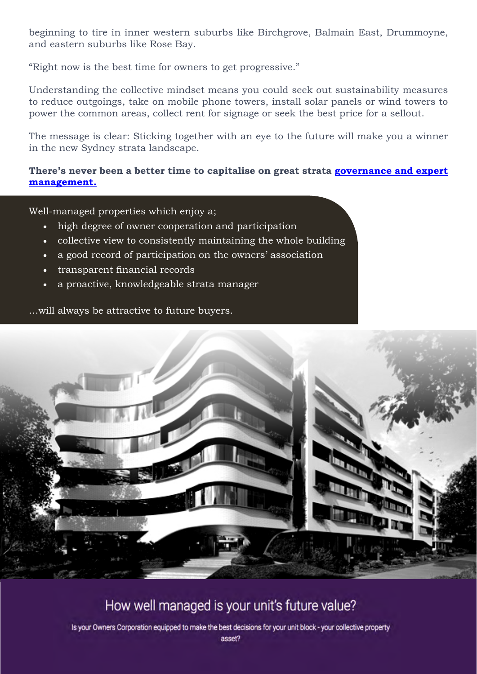beginning to tire in inner western suburbs like Birchgrove, Balmain East, Drummoyne, and eastern suburbs like Rose Bay.

"Right now is the best time for owners to get progressive."

Understanding the collective mindset means you could seek out sustainability measures to reduce outgoings, take on mobile phone towers, install solar panels or wind towers to power the common areas, collect rent for signage or seek the best price for a sellout.

The message is clear: Sticking together with an eye to the future will make you a winner in the new Sydney strata landscape.

#### **There's never been a better time to capitalise on great strata [governance and expert](http://www.ium.com.au/collective-asset-governance-assessment?__hstc=242582621.7840329a921fdecaee5ba07521adbb3e.1480159574286.1491198836899.1491229251470.56&__hssc=242582621.1.1491268913289&__hsfp=1215676127&hsCtaTracking=6bd3bfbf-0cf0-4473-bc97-aefeccf8881b%7Cd6da413d-8f25-42af-8648-e62af2818b1b) [management.](http://www.ium.com.au/collective-asset-governance-assessment?__hstc=242582621.7840329a921fdecaee5ba07521adbb3e.1480159574286.1491198836899.1491229251470.56&__hssc=242582621.1.1491268913289&__hsfp=1215676127&hsCtaTracking=6bd3bfbf-0cf0-4473-bc97-aefeccf8881b%7Cd6da413d-8f25-42af-8648-e62af2818b1b)**

Well-managed properties which enjoy a;

- high degree of owner cooperation and participation
- collective view to consistently maintaining the whole building
- a good record of participation on the owners' association
- • transparent financial records
- a proactive, knowledgeable strata manager

…will always be attractive to future buyers.



### How well managed is your unit's future value?

Is your Owners Corporation equipped to make the best decisions for your unit block - your collective property